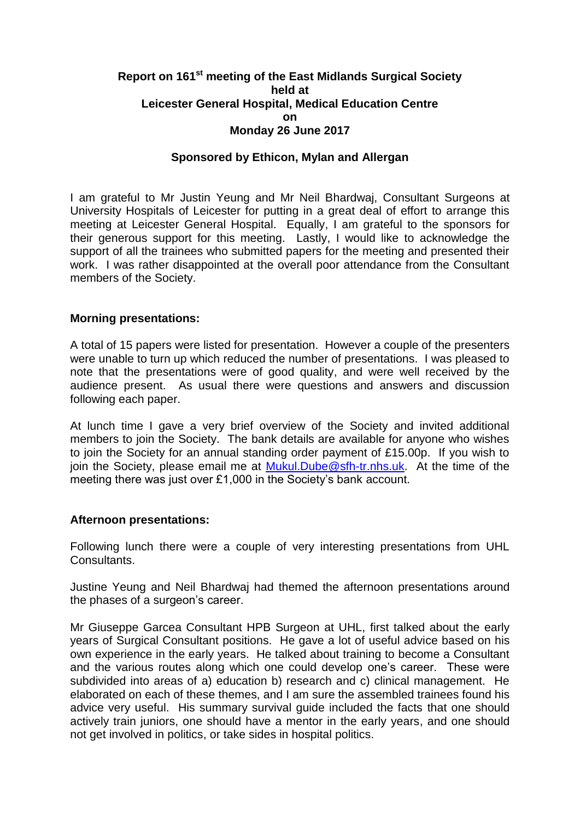# **Report on 161st meeting of the East Midlands Surgical Society held at Leicester General Hospital, Medical Education Centre on Monday 26 June 2017**

# **Sponsored by Ethicon, Mylan and Allergan**

I am grateful to Mr Justin Yeung and Mr Neil Bhardwaj, Consultant Surgeons at University Hospitals of Leicester for putting in a great deal of effort to arrange this meeting at Leicester General Hospital. Equally, I am grateful to the sponsors for their generous support for this meeting. Lastly, I would like to acknowledge the support of all the trainees who submitted papers for the meeting and presented their work. I was rather disappointed at the overall poor attendance from the Consultant members of the Society.

### **Morning presentations:**

A total of 15 papers were listed for presentation. However a couple of the presenters were unable to turn up which reduced the number of presentations. I was pleased to note that the presentations were of good quality, and were well received by the audience present. As usual there were questions and answers and discussion following each paper.

At lunch time I gave a very brief overview of the Society and invited additional members to join the Society. The bank details are available for anyone who wishes to join the Society for an annual standing order payment of £15.00p. If you wish to join the Society, please email me at [Mukul.Dube@sfh-tr.nhs.uk.](mailto:Mukul.Dube@sfh-tr.nhs.uk) At the time of the meeting there was just over £1,000 in the Society's bank account.

#### **Afternoon presentations:**

Following lunch there were a couple of very interesting presentations from UHL Consultants.

Justine Yeung and Neil Bhardwaj had themed the afternoon presentations around the phases of a surgeon's career.

Mr Giuseppe Garcea Consultant HPB Surgeon at UHL, first talked about the early years of Surgical Consultant positions. He gave a lot of useful advice based on his own experience in the early years. He talked about training to become a Consultant and the various routes along which one could develop one's career. These were subdivided into areas of a) education b) research and c) clinical management. He elaborated on each of these themes, and I am sure the assembled trainees found his advice very useful. His summary survival guide included the facts that one should actively train juniors, one should have a mentor in the early years, and one should not get involved in politics, or take sides in hospital politics.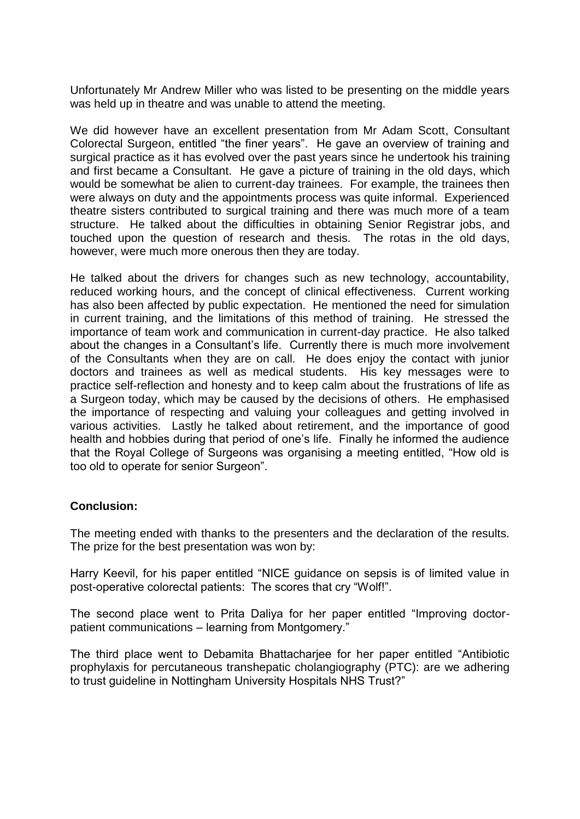Unfortunately Mr Andrew Miller who was listed to be presenting on the middle years was held up in theatre and was unable to attend the meeting.

We did however have an excellent presentation from Mr Adam Scott, Consultant Colorectal Surgeon, entitled "the finer years". He gave an overview of training and surgical practice as it has evolved over the past years since he undertook his training and first became a Consultant. He gave a picture of training in the old days, which would be somewhat be alien to current-day trainees. For example, the trainees then were always on duty and the appointments process was quite informal. Experienced theatre sisters contributed to surgical training and there was much more of a team structure. He talked about the difficulties in obtaining Senior Registrar jobs, and touched upon the question of research and thesis. The rotas in the old days, however, were much more onerous then they are today.

He talked about the drivers for changes such as new technology, accountability, reduced working hours, and the concept of clinical effectiveness. Current working has also been affected by public expectation. He mentioned the need for simulation in current training, and the limitations of this method of training. He stressed the importance of team work and communication in current-day practice. He also talked about the changes in a Consultant's life. Currently there is much more involvement of the Consultants when they are on call. He does enjoy the contact with junior doctors and trainees as well as medical students. His key messages were to practice self-reflection and honesty and to keep calm about the frustrations of life as a Surgeon today, which may be caused by the decisions of others. He emphasised the importance of respecting and valuing your colleagues and getting involved in various activities. Lastly he talked about retirement, and the importance of good health and hobbies during that period of one's life. Finally he informed the audience that the Royal College of Surgeons was organising a meeting entitled, "How old is too old to operate for senior Surgeon".

# **Conclusion:**

The meeting ended with thanks to the presenters and the declaration of the results. The prize for the best presentation was won by:

Harry Keevil, for his paper entitled "NICE guidance on sepsis is of limited value in post-operative colorectal patients: The scores that cry "Wolf!".

The second place went to Prita Daliya for her paper entitled "Improving doctorpatient communications – learning from Montgomery."

The third place went to Debamita Bhattacharjee for her paper entitled "Antibiotic prophylaxis for percutaneous transhepatic cholangiography (PTC): are we adhering to trust guideline in Nottingham University Hospitals NHS Trust?"